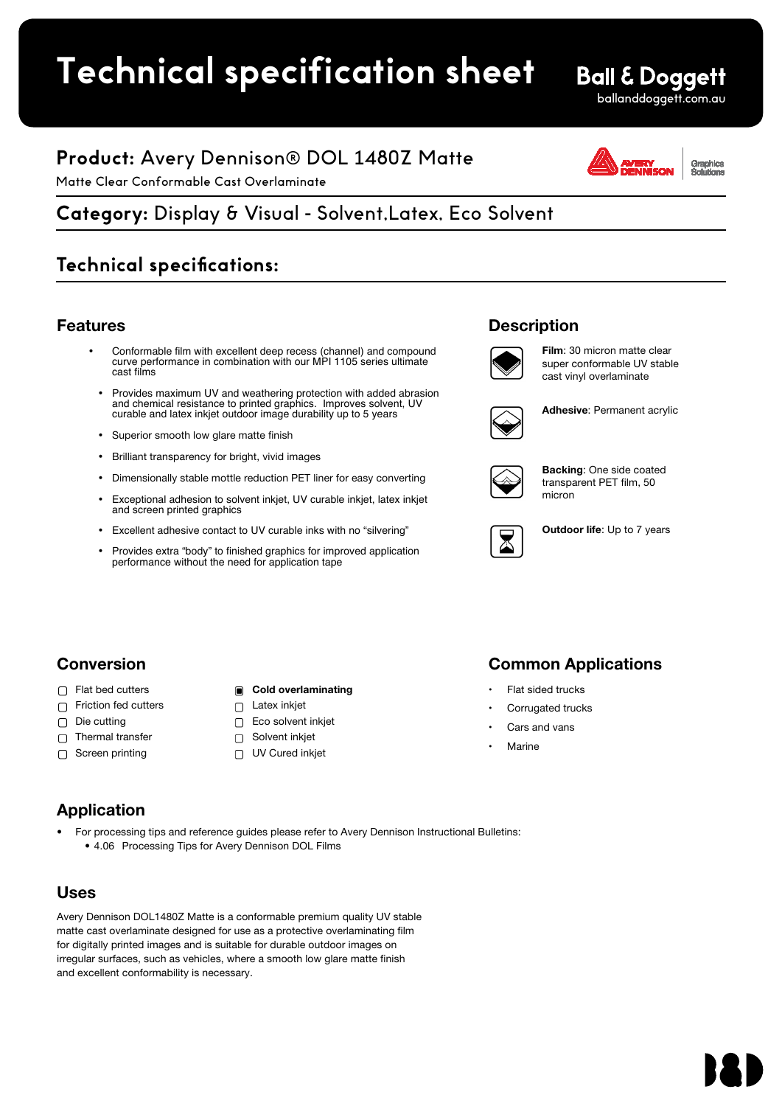# **Technical specification sheet ITICATION SNEET**

• 4.06 Processing Tips for Avery Dennison DOL Films

# **Ball & Doggett** ballanddoggett.com.au

# **Product:** Avery Dennison® DOL 1480Z Matte

Matte Clear Conformable Cast Overlaminate

Graphics<br>Solutions

# <u>Category: Display & Visual - Solvent,Latex, Eco Solvent Avery Dennison Avery Dennison Avery Dennis<br>Category: Display & Visual - Solvent,Latex, Eco Solvent</u> Galogory: Display & Viscal Concentration,

# **Technical specifications:**

### Features

- Conformable film with excellent deep recess (channel) and compound curve performance in combination with our MPI 1105 series ultimate cast films
- Provides maximum UV and weathering protection with added abrasion and chemical resistance to printed graphics. Improves solvent, UV curable and latex inkjet outdoor image durability up to 5 years
- Superior smooth low glare matte finish
- Brilliant transparency for bright, vivid images
- Dimensionally stable mottle reduction PET liner for easy converting
- Exceptional adhesion to solvent inkjet, UV curable inkjet, latex inkjet and screen printed graphics
- Excellent adhesive contact to UV curable inks with no "silvering"
- Provides extra "body" to finished graphics for improved application performance without the need for application tape





Film: 30 micron matte clear super conformable UV stable cast vinyl overlaminate



Adhesive: Permanent acrylic



Backing: One side coated transparent PET film, 50 micron



Outdoor life: Up to 7 years

# Conversion

- □ Flat bed cutters
- □ Friction fed cutters
- Die cutting  $\Box$
- Thermal transfer  $\Box$
- Screen printing  $\Box$

### Cold overlaminating

- □ Latex inkjet
- Eco solvent inkjet
- Solvent inkjet
- UV Cured inkjet

# Common Applications

- Flat sided trucks
- Corrugated trucks
- Cars and vans
- Marine

# Application

• For processing tips and reference guides please refer to Avery Dennison Instructional Bulletins: • 4.06 Processing Tips for Avery Dennison DOL Films

# Uses

Avery Dennison DOL1480Z Matte is a conformable premium quality UV stable matte cast overlaminate designed for use as a protective overlaminating film for digitally printed images and is suitable for durable outdoor images on irregular surfaces, such as vehicles, where a smooth low glare matte finish and excellent conformability is necessary.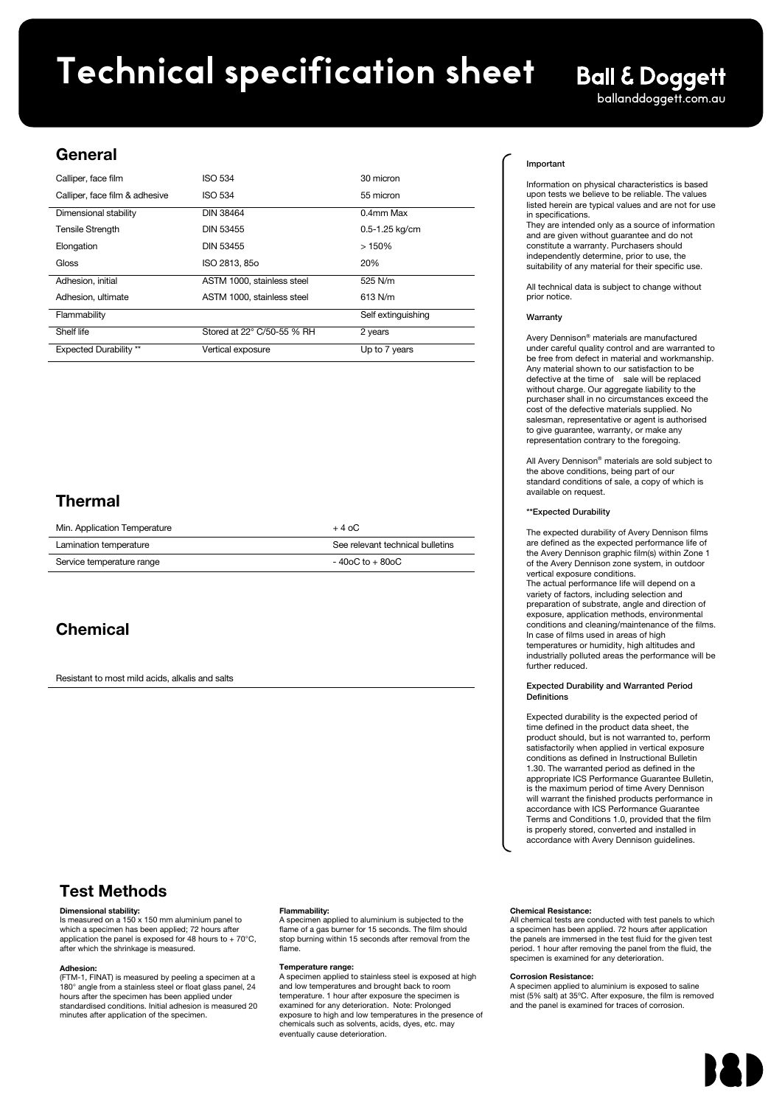# **Technical specification sheet**

# **Ball & Doggett**

ballanddoggett.com.au

### General

| Calliper, face film            | ISO 534                    | 30 micron          |
|--------------------------------|----------------------------|--------------------|
| Calliper, face film & adhesive | <b>ISO 534</b>             | 55 micron          |
| Dimensional stability          | <b>DIN 38464</b>           | 0.4mm Max          |
| <b>Tensile Strength</b>        | <b>DIN 53455</b>           | $0.5 - 1.25$ kg/cm |
| Elongation                     | DIN 53455                  | >150%              |
| Gloss                          | ISO 2813, 85o              | 20%                |
| Adhesion, initial              | ASTM 1000. stainless steel | 525 N/m            |
| Adhesion, ultimate             | ASTM 1000, stainless steel | $613$ N/m          |
| Flammability                   |                            | Self extinguishing |
| Shelf life                     | Stored at 22° C/50-55 % RH | 2 years            |
| <b>Expected Durability</b> **  | Vertical exposure          | Up to 7 years      |

# Thermal

| Min. Application Temperature | $+40C$                           |
|------------------------------|----------------------------------|
| Lamination temperature       | See relevant technical bulletins |
| Service temperature range    | $-40$ oC to $+80$ oC             |

# **Chemical**

Resistant to most mild acids, alkalis and salts

### Test Methods

### Dimensional stability:

Is measured on a 150 x 150 mm aluminium panel to which a specimen has been applied; 72 hours after application the panel is exposed for 48 hours to + 70°C, after which the shrinkage is measured.

### Adhesion**:**

(FTM-1, FINAT) is measured by peeling a specimen at a 180° angle from a stainless steel or float glass panel, 24 hours after the specimen has been applied under standardised conditions. Initial adhesion is measured 20 minutes after application of the specimen.

### Flammability:

Freposition applied to diaminant is subjected to the film should specified to a gas burner for 15 seconds. The film should<br>stop burning within 15 seconds after removal from the  $t_{\text{total}}$ A specimen applied to aluminium is subjected to the flame.

### Temperature range:

A specimen applied to stainless steel is exposed at high and low temperatures and brought back to room temperature. 1 hour after exposure the specimen is examined for any deterioration. Note: Prolonged exposure to high and low temperatures in the presence of chemicals such as solvents, acids, dyes, etc. may eventually cause deterioration. and low temperatures and brought back to room

### Important

upon tests we believe to be reliable. The values listed herein are typical values and are not for use Information on physical characteristics is based in specifications.

in specifications.<br>They are intended only as a source of information rney are intended only as a source of inform<br>and are given without guarantee and do not and are given winder gaarantee and de monostitute a warranty. Purchasers should independently determine, prior to use, the suitability of any material for their specific use.

All technical data is subject to change without prior notice.

### **Warranty**

Avery Dennison® materials are manufactured under careful quality control and are warranted to<br>be free from defect in material and workmanship. purchaser shall in no circumstances exceed<br>cost of the defective materials supplied. No cost of the defective materials supplied. No<br>salesman, representative or agent is authorised nted to be free from defect in and are war to give guarantee, warranty, or make any re gave generative, materially, community, materially Any material shown to our satisfaction to be defective at the time of sale will be replaced without charge. Our aggregate liability to the purchaser shall in no circumstances exceed the

All Avery Dennison® materials are sold subject to the above conditions, being part of our standard conditions of sale, a copy of which is  $\mu$ uest. available on request.

#### sk Expected Durchility rability guarantee, and the guarantee, and the guarantee, and the guarantee, and the guarantee, and the guarantee, and the guarantee of the guarantee of the guarantee of the guarantee of the guarantee of the guarantee of t \*\*Expected Durability

lurability of Avery Dennisor the exp of the Avery Dennison zone system, in outdoor vertical exposure conditions.<br>The actual performance life will depend on a rile actual performance life will depend on a<br>variety of factors, including selection and valicty of lactors, including sciection and<br>preparation of substrate, angle and direction of The expect The expected durability of Avery Dennison films<br>are defined as the expected performance life of vertical exposure conditions. the Avery Dennison graphic film(s) within Zone 1 exposure, application methods, environmental conditions and cleaning/maintenance of the films. In case of films used in areas of high temperatures or humidity, high altitudes and

industrially polluted areas the performance will be die European and central European and central European and central European and central European and central E<br>European and central European and central European and central European and central European and central Europ further reduced.

#### .<br>an In ability and warranted renou **Expected Durability and Warranted Period** Expected B preparation

Expected durability is the expected period of time defined in the product data sheet, the product should, but is not warranted to, perform satisfactorily when applied in vertical exposure conditions as defined in instructional Bulletin<br>1.30. The warranted period as defined in the 1.50. The warranted period as defined in the<br>appropriate ICS Performance Guarantee Bulletin, is the maximum period of time Avery Dennison will warrant the finished products performance in accordance with ICS Performance Guarantee Terms and Conditions 1.0, provided that the film conditions as defined in Instructional Bulletin is properly stored, converted and installed in accordance with Avery Dennison guidelines.

### Chemical Resistance:

a specimen has been applied. The hours are application are parels are immersed in the test hold for the given test<br>period. 1 hour after removing the panel from the fluid, the period. 1 hour after removing the panel from the hold, the specimen is examined for any deterioration. a specimen has been applied. 72 hours after application All chemical tests are conducted with test panels to which

### **Corrosion Resistance:**

A specimen applied to aluminium is exposed to saline<br>mist (5% salt) at 35°C. After exposure, the film is removed and the panel is examined for traces of corrosion. A specimen applied to aluminium is exposed to saline

Solutions olutionsSolutionsAsia Pacific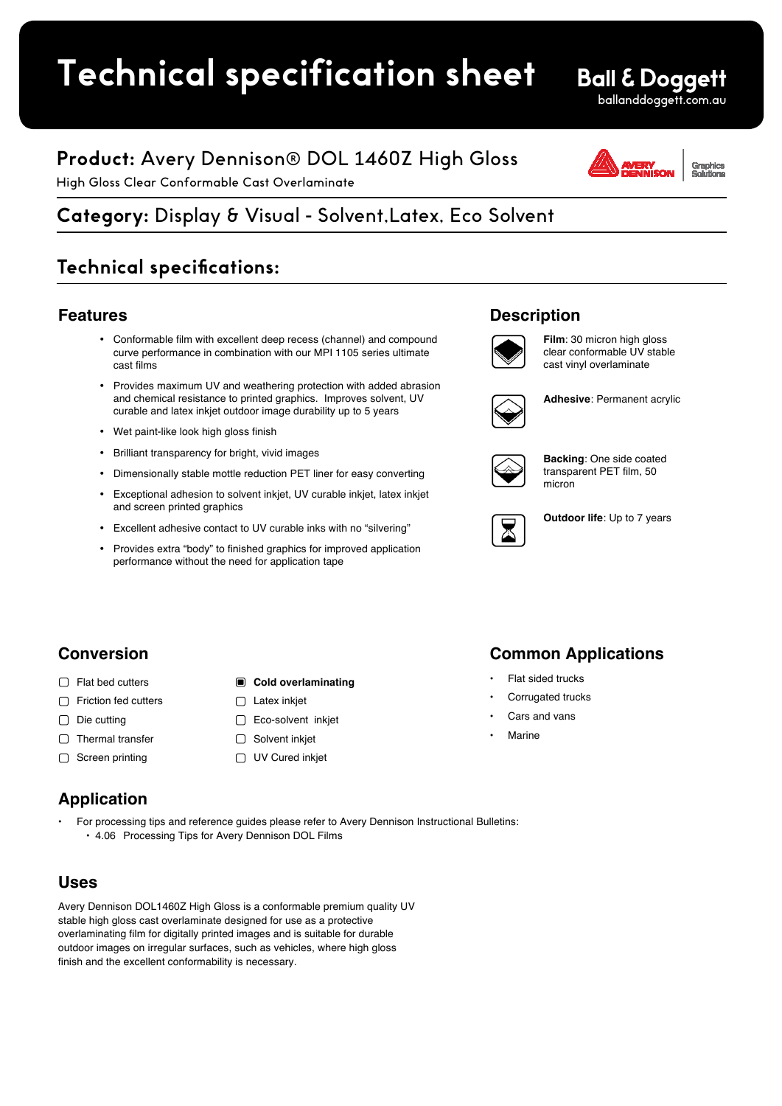# **Technical specification sheet**

# **Product:** Avery Dennison® DOL 1460Z High Gloss

High Gloss Clear Conformable Cast Overlaminate

# **Category:** Display & Visual - Solvent,Latex, Eco Solvent

# **Technical specifications:**

### **Features**

- Conformable film with excellent deep recess (channel) and compound curve performance in combination with our MPI 1105 series ultimate cast films
- Provides maximum UV and weathering protection with added abrasion and chemical resistance to printed graphics. Improves solvent, UV curable and latex inkjet outdoor image durability up to 5 years
- Wet paint-like look high gloss finish
- Brilliant transparency for bright, vivid images
- Dimensionally stable mottle reduction PET liner for easy converting
- Exceptional adhesion to solvent inkjet, UV curable inkjet, latex inkjet and screen printed graphics
- Excellent adhesive contact to UV curable inks with no "silvering"
- Provides extra "body" to finished graphics for improved application performance without the need for application tape

# **Description**



**Film**: 30 micron high gloss clear conformable UV stable cast vinyl overlaminate



**Adhesive**: Permanent acrylic



**Backing**: One side coated transparent PET film, 50 micron



**Outdoor life**: Up to 7 years

**Conversion**

- □ Flat bed cutters
- □ Friction fed cutters
- $\Box$  Die cutting
- □ Thermal transfer
- $\Box$  Screen printing

# **Application**

• For processing tips and reference guides please refer to Avery Dennison Instructional Bulletins: • 4.06 Processing Tips for Avery Dennison DOL Films

**Cold overlaminating** 

 $\Box$  Latex inkiet □ Eco-solvent inkjet □ Solvent inkjet UV Cured inkjet

### **Uses**

Avery Dennison DOL1460Z High Gloss is a conformable premium quality UV stable high gloss cast overlaminate designed for use as a protective overlaminating film for digitally printed images and is suitable for durable outdoor images on irregular surfaces, such as vehicles, where high gloss finish and the excellent conformability is necessary.

# **Common Applications**

- Flat sided trucks
- Corrugated trucks
- Cars and vans
- Marine



ballanddoggett.com.au

**Ball & Doggett**